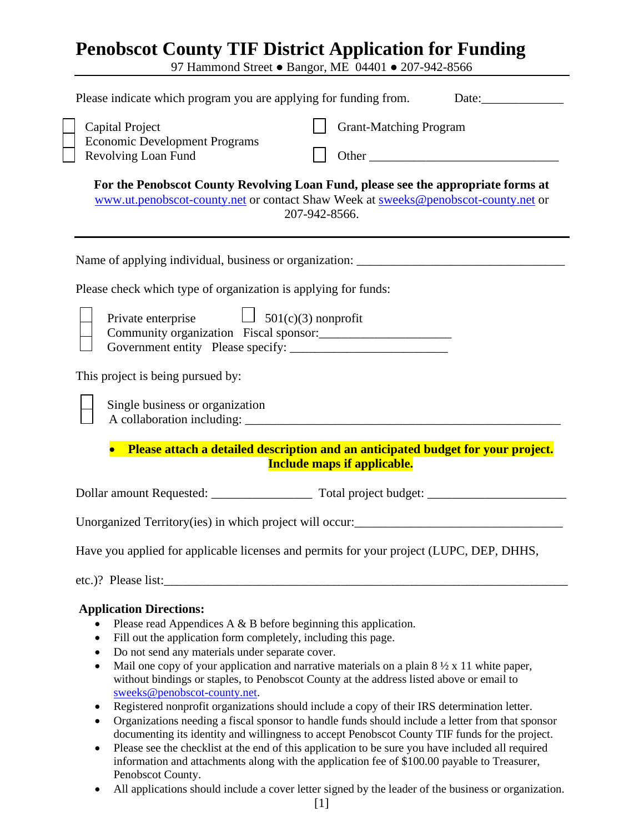# **Penobscot County TIF District Application for Funding**

97 Hammond Street ● Bangor, ME 04401 ● 207-942-8566

| Please indicate which program you are applying for funding from.                                                                                                                                                                                                                                                                       |
|----------------------------------------------------------------------------------------------------------------------------------------------------------------------------------------------------------------------------------------------------------------------------------------------------------------------------------------|
| <b>Grant-Matching Program</b><br>Capital Project<br><b>Economic Development Programs</b><br>Revolving Loan Fund                                                                                                                                                                                                                        |
| For the Penobscot County Revolving Loan Fund, please see the appropriate forms at<br>www.ut.penobscot-county.net or contact Shaw Week at sweeks@penobscot-county.net or<br>207-942-8566.                                                                                                                                               |
|                                                                                                                                                                                                                                                                                                                                        |
| Please check which type of organization is applying for funds:                                                                                                                                                                                                                                                                         |
| Private enterprise $\Box$ 501(c)(3) nonprofit                                                                                                                                                                                                                                                                                          |
| This project is being pursued by:                                                                                                                                                                                                                                                                                                      |
| Single business or organization                                                                                                                                                                                                                                                                                                        |
| Please attach a detailed description and an anticipated budget for your project.<br><b>Include maps if applicable.</b>                                                                                                                                                                                                                 |
|                                                                                                                                                                                                                                                                                                                                        |
|                                                                                                                                                                                                                                                                                                                                        |
| Have you applied for applicable licenses and permits for your project (LUPC, DEP, DHHS,                                                                                                                                                                                                                                                |
|                                                                                                                                                                                                                                                                                                                                        |
| <b>Application Directions:</b><br>Please read Appendices A $\&$ B before beginning this application.<br>Fill out the application form completely, including this page.<br>Do not send any materials under separate cover.<br>Mail one copy of your application and partitive materials on a plain $8\frac{1}{2} \times 11$ white paper |

- Mail one copy of your application and narrative materials on a plain  $8\frac{1}{2} \times 11$  white paper, without bindings or staples, to Penobscot County at the address listed above or email to [sweeks@penobscot-county.net.](mailto:bveilleux@penobscot-county.net)
- Registered nonprofit organizations should include a copy of their IRS determination letter.
- Organizations needing a fiscal sponsor to handle funds should include a letter from that sponsor documenting its identity and willingness to accept Penobscot County TIF funds for the project.
- Please see the checklist at the end of this application to be sure you have included all required information and attachments along with the application fee of \$100.00 payable to Treasurer, Penobscot County.
- All applications should include a cover letter signed by the leader of the business or organization.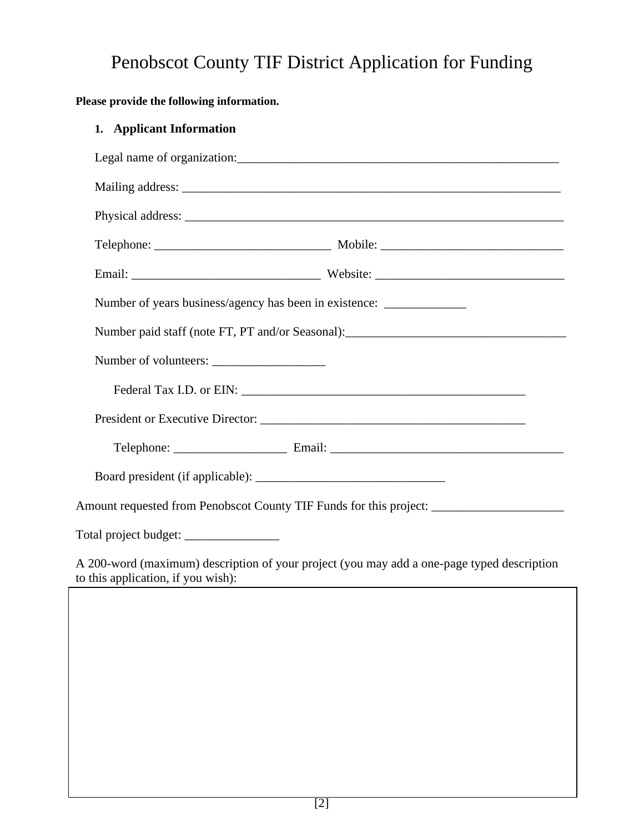# Penobscot County TIF District Application for Funding

# **Please provide the following information.**

# **1. Applicant Information**

|                                    | Number of years business/agency has been in existence: __________________________          |
|------------------------------------|--------------------------------------------------------------------------------------------|
|                                    | Number paid staff (note FT, PT and/or Seasonal): ________________________________          |
|                                    |                                                                                            |
|                                    |                                                                                            |
|                                    |                                                                                            |
|                                    |                                                                                            |
|                                    |                                                                                            |
|                                    |                                                                                            |
|                                    |                                                                                            |
| to this application, if you wish): | A 200-word (maximum) description of your project (you may add a one-page typed description |
|                                    |                                                                                            |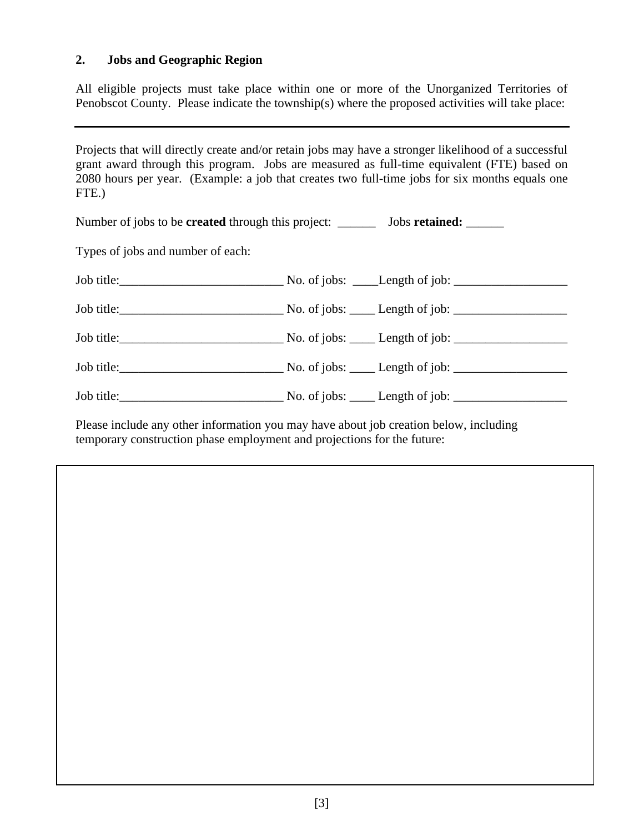#### **2. Jobs and Geographic Region**

All eligible projects must take place within one or more of the Unorganized Territories of Penobscot County. Please indicate the township(s) where the proposed activities will take place:

Projects that will directly create and/or retain jobs may have a stronger likelihood of a successful grant award through this program. Jobs are measured as full-time equivalent (FTE) based on 2080 hours per year. (Example: a job that creates two full-time jobs for six months equals one FTE.)

| Number of jobs to be <b>created</b> through this project: __________ Jobs <b>retained:</b> _______ |  |
|----------------------------------------------------------------------------------------------------|--|
| Types of jobs and number of each:                                                                  |  |
|                                                                                                    |  |
|                                                                                                    |  |
|                                                                                                    |  |
|                                                                                                    |  |
|                                                                                                    |  |
|                                                                                                    |  |

Please include any other information you may have about job creation below, including temporary construction phase employment and projections for the future: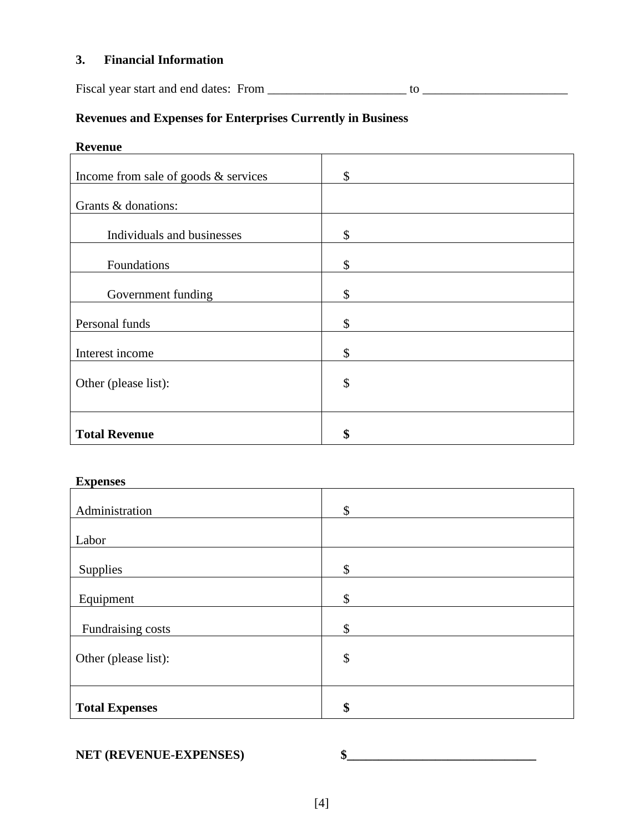#### **3. Financial Information**

Fiscal year start and end dates: From \_\_\_\_\_\_\_\_\_\_\_\_\_\_\_\_\_\_\_\_\_\_ to \_\_\_\_\_\_\_\_\_\_\_\_\_\_\_\_\_\_\_\_\_\_\_

# **Revenues and Expenses for Enterprises Currently in Business**

## **Revenue**

| Income from sale of goods & services | \$            |
|--------------------------------------|---------------|
| Grants & donations:                  |               |
| Individuals and businesses           | \$            |
| Foundations                          | \$            |
| Government funding                   | \$            |
| Personal funds                       | \$            |
| Interest income                      | \$            |
| Other (please list):                 | $\mathcal{S}$ |
|                                      |               |
| <b>Total Revenue</b>                 | \$            |

#### **Expenses**

| Administration        | \$                        |
|-----------------------|---------------------------|
| Labor                 |                           |
| Supplies              | \$                        |
| Equipment             | \$                        |
| Fundraising costs     | \$                        |
| Other (please list):  | $\boldsymbol{\mathsf{S}}$ |
|                       |                           |
| <b>Total Expenses</b> | \$                        |

#### **NET (REVENUE-EXPENSES)**  $\frac{1}{2}$  **\$**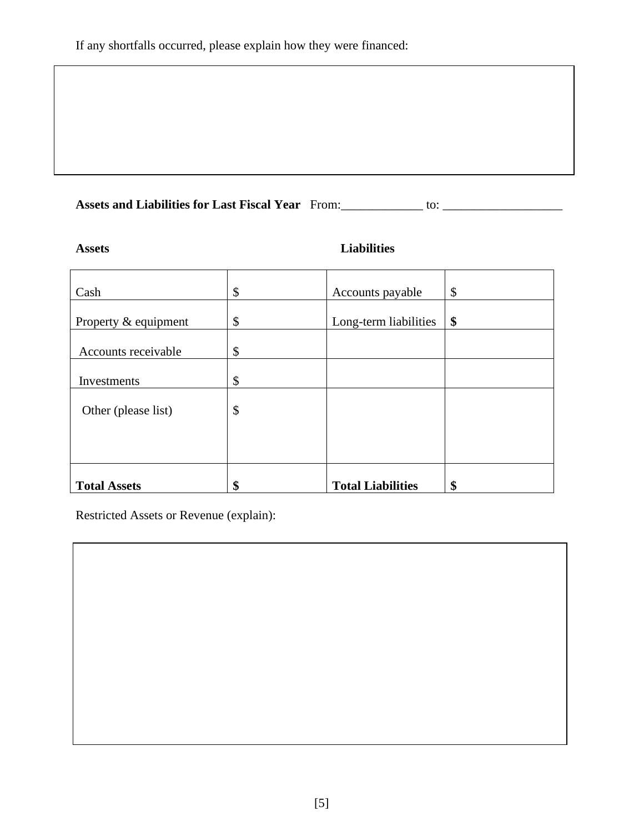# **Assets and Liabilities for Last Fiscal Year** From:\_\_\_\_\_\_\_\_\_\_\_\_\_ to: \_\_\_\_\_\_\_\_\_\_\_\_\_\_\_\_\_\_\_

## **Assets Liabilities**

| Cash                 | \$<br>Accounts payable         | \$ |
|----------------------|--------------------------------|----|
| Property & equipment | \$<br>Long-term liabilities    | \$ |
| Accounts receivable  | \$                             |    |
| Investments          | \$                             |    |
| Other (please list)  | \$                             |    |
|                      |                                |    |
|                      |                                |    |
| <b>Total Assets</b>  | \$<br><b>Total Liabilities</b> | \$ |

Restricted Assets or Revenue (explain):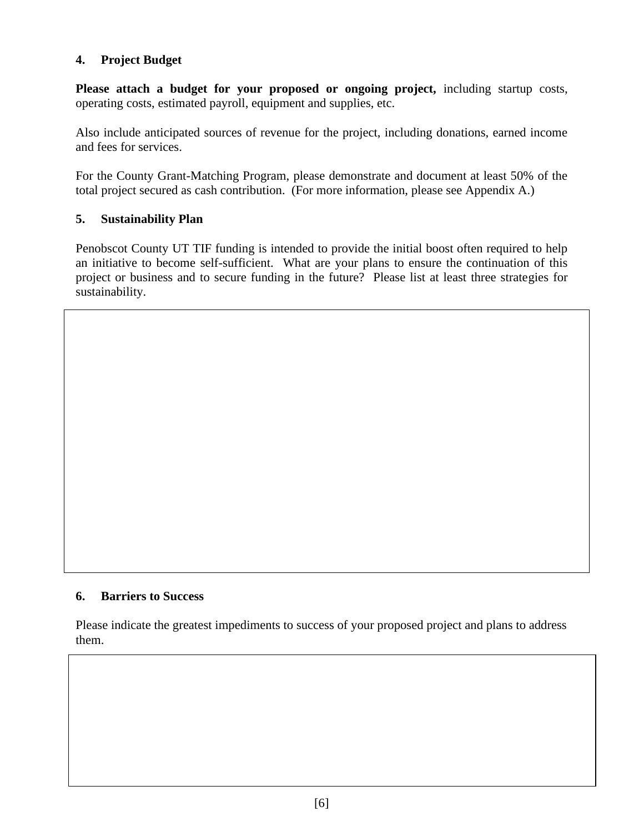### **4. Project Budget**

**Please attach a budget for your proposed or ongoing project,** including startup costs, operating costs, estimated payroll, equipment and supplies, etc.

Also include anticipated sources of revenue for the project, including donations, earned income and fees for services.

For the County Grant-Matching Program, please demonstrate and document at least 50% of the total project secured as cash contribution. (For more information, please see Appendix A.)

## **5. Sustainability Plan**

Penobscot County UT TIF funding is intended to provide the initial boost often required to help an initiative to become self-sufficient. What are your plans to ensure the continuation of this project or business and to secure funding in the future? Please list at least three strategies for sustainability.

#### **6. Barriers to Success**

Please indicate the greatest impediments to success of your proposed project and plans to address them.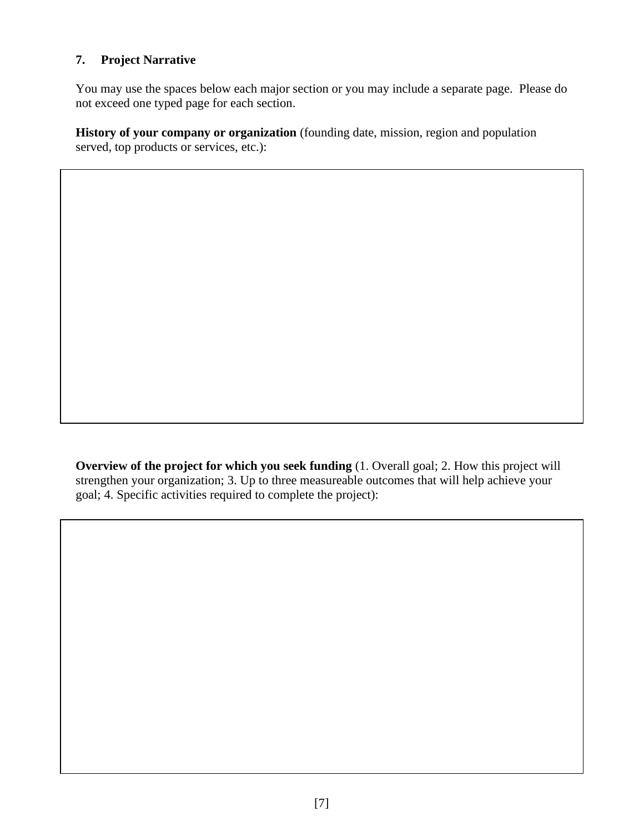# **7. Project Narrative**

You may use the spaces below each major section or you may include a separate page. Please do not exceed one typed page for each section.

**History of your company or organization** (founding date, mission, region and population served, top products or services, etc.):

**Overview of the project for which you seek funding** (1. Overall goal; 2. How this project will strengthen your organization; 3. Up to three measureable outcomes that will help achieve your goal; 4. Specific activities required to complete the project):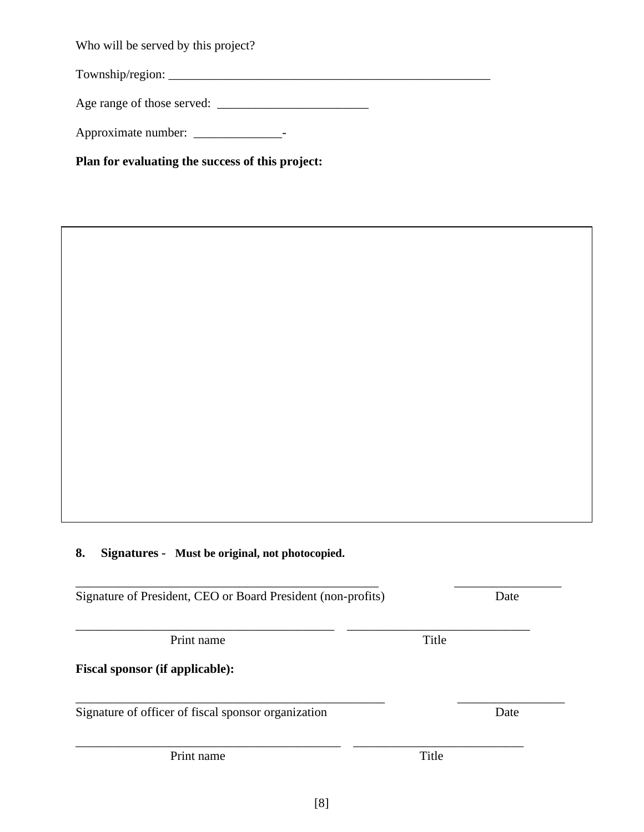Who will be served by this project?

Township/region: \_\_\_\_\_\_\_\_\_\_\_\_\_\_\_\_\_\_\_\_\_\_\_\_\_\_\_\_\_\_\_\_\_\_\_\_\_\_\_\_\_\_\_\_\_\_\_\_\_\_\_

Age range of those served: \_\_\_\_\_\_\_\_\_\_\_\_\_\_\_\_\_\_\_\_\_\_\_\_

Approximate number: \_\_\_\_\_\_\_\_\_\_\_\_\_\_-

**Plan for evaluating the success of this project:**

#### **8. Signatures - Must be original, not photocopied.**

\_\_\_\_\_\_\_\_\_\_\_\_\_\_\_\_\_\_\_\_\_\_\_\_\_\_\_\_\_\_\_\_\_\_\_\_\_\_\_\_\_\_\_\_\_\_\_\_ \_\_\_\_\_\_\_\_\_\_\_\_\_\_\_\_\_ Signature of President, CEO or Board President (non-profits) Date \_\_\_\_\_\_\_\_\_\_\_\_\_\_\_\_\_\_\_\_\_\_\_\_\_\_\_\_\_\_\_\_\_\_\_\_\_\_\_\_\_ \_\_\_\_\_\_\_\_\_\_\_\_\_\_\_\_\_\_\_\_\_\_\_\_\_\_\_\_\_ Print name Title **Fiscal sponsor (if applicable):** \_\_\_\_\_\_\_\_\_\_\_\_\_\_\_\_\_\_\_\_\_\_\_\_\_\_\_\_\_\_\_\_\_\_\_\_\_\_\_\_\_\_\_\_\_\_\_\_\_ \_\_\_\_\_\_\_\_\_\_\_\_\_\_\_\_\_

\_\_\_\_\_\_\_\_\_\_\_\_\_\_\_\_\_\_\_\_\_\_\_\_\_\_\_\_\_\_\_\_\_\_\_\_\_\_\_\_\_\_ \_\_\_\_\_\_\_\_\_\_\_\_\_\_\_\_\_\_\_\_\_\_\_\_\_\_\_

Signature of officer of fiscal sponsor organization Date

Print name Title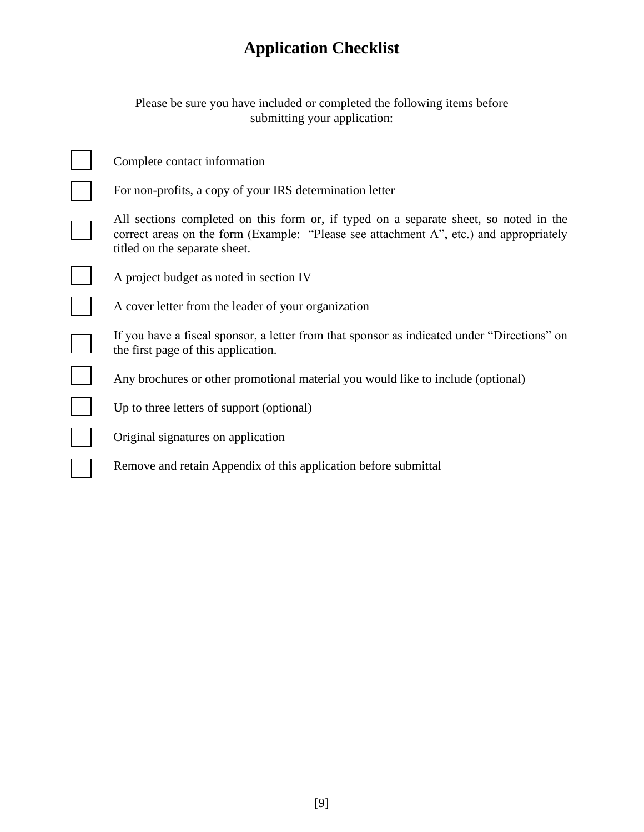# **Application Checklist**

Please be sure you have included or completed the following items before submitting your application:

| Complete contact information                                                                                                                                                                                     |
|------------------------------------------------------------------------------------------------------------------------------------------------------------------------------------------------------------------|
| For non-profits, a copy of your IRS determination letter                                                                                                                                                         |
| All sections completed on this form or, if typed on a separate sheet, so noted in the<br>correct areas on the form (Example: "Please see attachment A", etc.) and appropriately<br>titled on the separate sheet. |
| A project budget as noted in section IV                                                                                                                                                                          |
| A cover letter from the leader of your organization                                                                                                                                                              |
| If you have a fiscal sponsor, a letter from that sponsor as indicated under "Directions" on<br>the first page of this application.                                                                               |
| Any brochures or other promotional material you would like to include (optional)                                                                                                                                 |
| Up to three letters of support (optional)                                                                                                                                                                        |
| Original signatures on application                                                                                                                                                                               |
| Remove and retain Appendix of this application before submittal                                                                                                                                                  |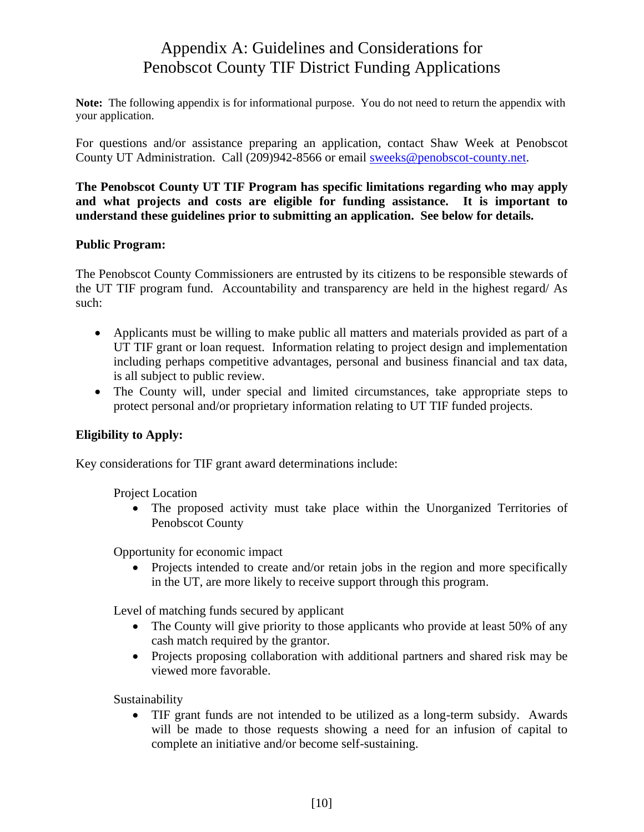# Appendix A: Guidelines and Considerations for Penobscot County TIF District Funding Applications

**Note:** The following appendix is for informational purpose. You do not need to return the appendix with your application.

For questions and/or assistance preparing an application, contact Shaw Week at Penobscot County UT Administration. Call (209)942-8566 or email [sweeks@penobscot-county.net.](mailto:bveilleux@penobscot-county.net)

**The Penobscot County UT TIF Program has specific limitations regarding who may apply and what projects and costs are eligible for funding assistance. It is important to understand these guidelines prior to submitting an application. See below for details.**

#### **Public Program:**

The Penobscot County Commissioners are entrusted by its citizens to be responsible stewards of the UT TIF program fund. Accountability and transparency are held in the highest regard/ As such:

- Applicants must be willing to make public all matters and materials provided as part of a UT TIF grant or loan request. Information relating to project design and implementation including perhaps competitive advantages, personal and business financial and tax data, is all subject to public review.
- The County will, under special and limited circumstances, take appropriate steps to protect personal and/or proprietary information relating to UT TIF funded projects.

#### **Eligibility to Apply:**

Key considerations for TIF grant award determinations include:

Project Location

• The proposed activity must take place within the Unorganized Territories of Penobscot County

Opportunity for economic impact

• Projects intended to create and/or retain jobs in the region and more specifically in the UT, are more likely to receive support through this program.

Level of matching funds secured by applicant

- The County will give priority to those applicants who provide at least 50% of any cash match required by the grantor.
- Projects proposing collaboration with additional partners and shared risk may be viewed more favorable.

Sustainability

• TIF grant funds are not intended to be utilized as a long-term subsidy. Awards will be made to those requests showing a need for an infusion of capital to complete an initiative and/or become self-sustaining.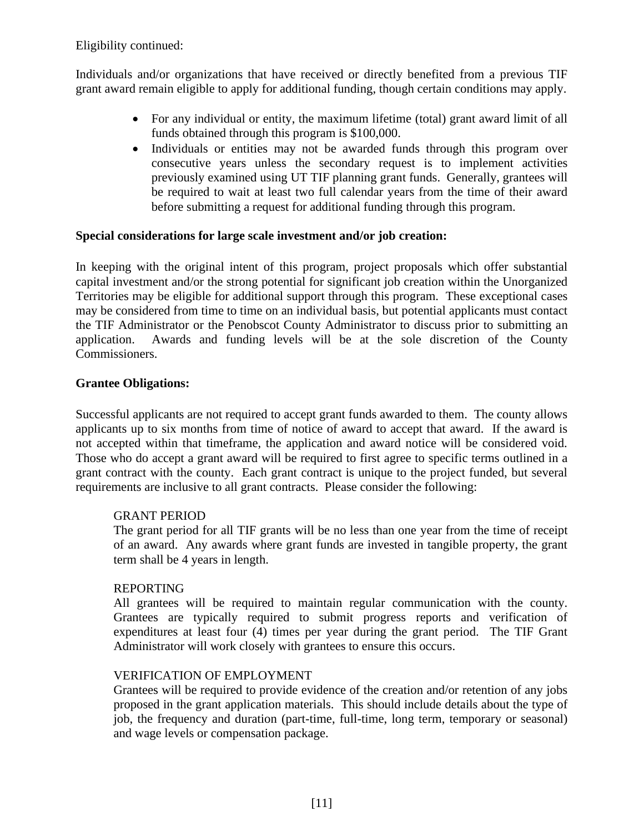Eligibility continued:

Individuals and/or organizations that have received or directly benefited from a previous TIF grant award remain eligible to apply for additional funding, though certain conditions may apply.

- For any individual or entity, the maximum lifetime (total) grant award limit of all funds obtained through this program is \$100,000.
- Individuals or entities may not be awarded funds through this program over consecutive years unless the secondary request is to implement activities previously examined using UT TIF planning grant funds. Generally, grantees will be required to wait at least two full calendar years from the time of their award before submitting a request for additional funding through this program.

#### **Special considerations for large scale investment and/or job creation:**

In keeping with the original intent of this program, project proposals which offer substantial capital investment and/or the strong potential for significant job creation within the Unorganized Territories may be eligible for additional support through this program. These exceptional cases may be considered from time to time on an individual basis, but potential applicants must contact the TIF Administrator or the Penobscot County Administrator to discuss prior to submitting an application. Awards and funding levels will be at the sole discretion of the County Commissioners.

#### **Grantee Obligations:**

Successful applicants are not required to accept grant funds awarded to them. The county allows applicants up to six months from time of notice of award to accept that award. If the award is not accepted within that timeframe, the application and award notice will be considered void. Those who do accept a grant award will be required to first agree to specific terms outlined in a grant contract with the county. Each grant contract is unique to the project funded, but several requirements are inclusive to all grant contracts. Please consider the following:

#### GRANT PERIOD

The grant period for all TIF grants will be no less than one year from the time of receipt of an award. Any awards where grant funds are invested in tangible property, the grant term shall be 4 years in length.

#### REPORTING

All grantees will be required to maintain regular communication with the county. Grantees are typically required to submit progress reports and verification of expenditures at least four (4) times per year during the grant period. The TIF Grant Administrator will work closely with grantees to ensure this occurs.

#### VERIFICATION OF EMPLOYMENT

Grantees will be required to provide evidence of the creation and/or retention of any jobs proposed in the grant application materials. This should include details about the type of job, the frequency and duration (part-time, full-time, long term, temporary or seasonal) and wage levels or compensation package.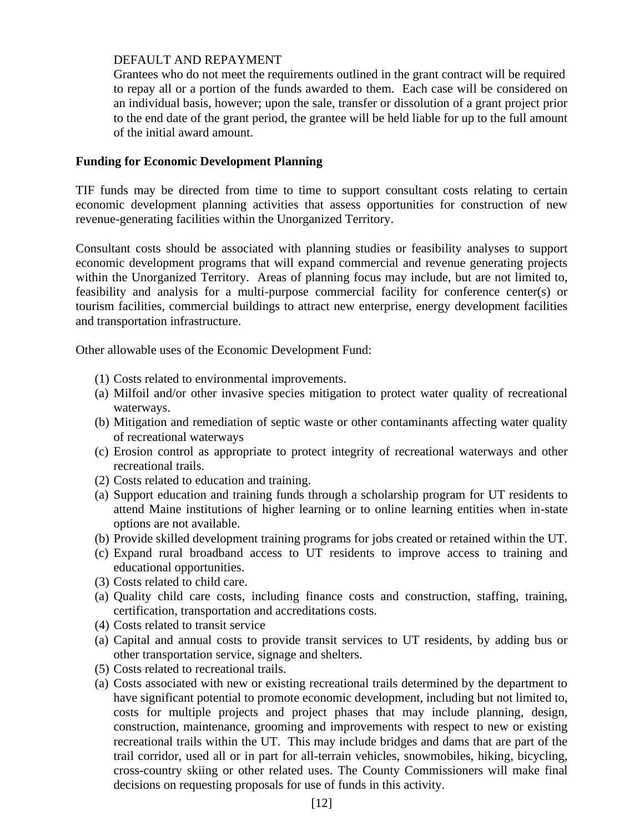#### DEFAULT AND REPAYMENT

Grantees who do not meet the requirements outlined in the grant contract will be required to repay all or a portion of the funds awarded to them. Each case will be considered on an individual basis, however; upon the sale, transfer or dissolution of a grant project prior to the end date of the grant period, the grantee will be held liable for up to the full amount of the initial award amount.

#### **Funding for Economic Development Planning**

TIF funds may be directed from time to time to support consultant costs relating to certain economic development planning activities that assess opportunities for construction of new revenue-generating facilities within the Unorganized Territory.

Consultant costs should be associated with planning studies or feasibility analyses to support economic development programs that will expand commercial and revenue generating projects within the Unorganized Territory. Areas of planning focus may include, but are not limited to, feasibility and analysis for a multi-purpose commercial facility for conference center(s) or tourism facilities, commercial buildings to attract new enterprise, energy development facilities and transportation infrastructure.

Other allowable uses of the Economic Development Fund:

- (1) Costs related to environmental improvements.
- (a) Milfoil and/or other invasive species mitigation to protect water quality of recreational waterways.
- (b) Mitigation and remediation of septic waste or other contaminants affecting water quality of recreational waterways
- (c) Erosion control as appropriate to protect integrity of recreational waterways and other recreational trails.
- (2) Costs related to education and training.
- (a) Support education and training funds through a scholarship program for UT residents to attend Maine institutions of higher learning or to online learning entities when in-state options are not available.
- (b) Provide skilled development training programs for jobs created or retained within the UT.
- (c) Expand rural broadband access to UT residents to improve access to training and educational opportunities.
- (3) Costs related to child care.
- (a) Quality child care costs, including finance costs and construction, staffing, training, certification, transportation and accreditations costs.
- (4) Costs related to transit service
- (a) Capital and annual costs to provide transit services to UT residents, by adding bus or other transportation service, signage and shelters.
- (5) Costs related to recreational trails.
- (a) Costs associated with new or existing recreational trails determined by the department to have significant potential to promote economic development, including but not limited to, costs for multiple projects and project phases that may include planning, design, construction, maintenance, grooming and improvements with respect to new or existing recreational trails within the UT. This may include bridges and dams that are part of the trail corridor, used all or in part for all-terrain vehicles, snowmobiles, hiking, bicycling, cross-country skiing or other related uses. The County Commissioners will make final decisions on requesting proposals for use of funds in this activity.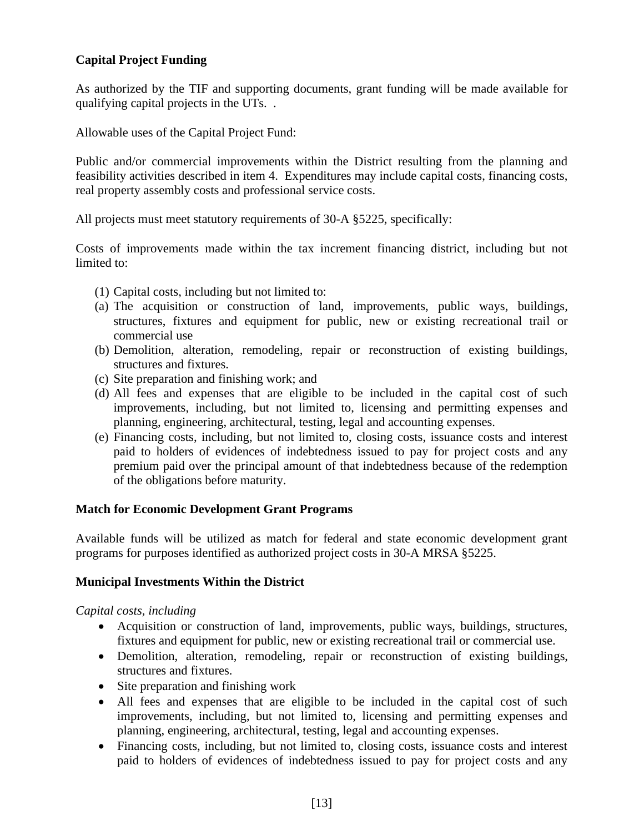#### **Capital Project Funding**

As authorized by the TIF and supporting documents, grant funding will be made available for qualifying capital projects in the UTs. .

Allowable uses of the Capital Project Fund:

Public and/or commercial improvements within the District resulting from the planning and feasibility activities described in item 4. Expenditures may include capital costs, financing costs, real property assembly costs and professional service costs.

All projects must meet statutory requirements of 30-A §5225, specifically:

Costs of improvements made within the tax increment financing district, including but not limited to:

- (1) Capital costs, including but not limited to:
- (a) The acquisition or construction of land, improvements, public ways, buildings, structures, fixtures and equipment for public, new or existing recreational trail or commercial use
- (b) Demolition, alteration, remodeling, repair or reconstruction of existing buildings, structures and fixtures.
- (c) Site preparation and finishing work; and
- (d) All fees and expenses that are eligible to be included in the capital cost of such improvements, including, but not limited to, licensing and permitting expenses and planning, engineering, architectural, testing, legal and accounting expenses.
- (e) Financing costs, including, but not limited to, closing costs, issuance costs and interest paid to holders of evidences of indebtedness issued to pay for project costs and any premium paid over the principal amount of that indebtedness because of the redemption of the obligations before maturity.

#### **Match for Economic Development Grant Programs**

Available funds will be utilized as match for federal and state economic development grant programs for purposes identified as authorized project costs in 30-A MRSA §5225.

#### **Municipal Investments Within the District**

#### *Capital costs, including*

- Acquisition or construction of land, improvements, public ways, buildings, structures, fixtures and equipment for public, new or existing recreational trail or commercial use.
- Demolition, alteration, remodeling, repair or reconstruction of existing buildings, structures and fixtures.
- Site preparation and finishing work
- All fees and expenses that are eligible to be included in the capital cost of such improvements, including, but not limited to, licensing and permitting expenses and planning, engineering, architectural, testing, legal and accounting expenses.
- Financing costs, including, but not limited to, closing costs, issuance costs and interest paid to holders of evidences of indebtedness issued to pay for project costs and any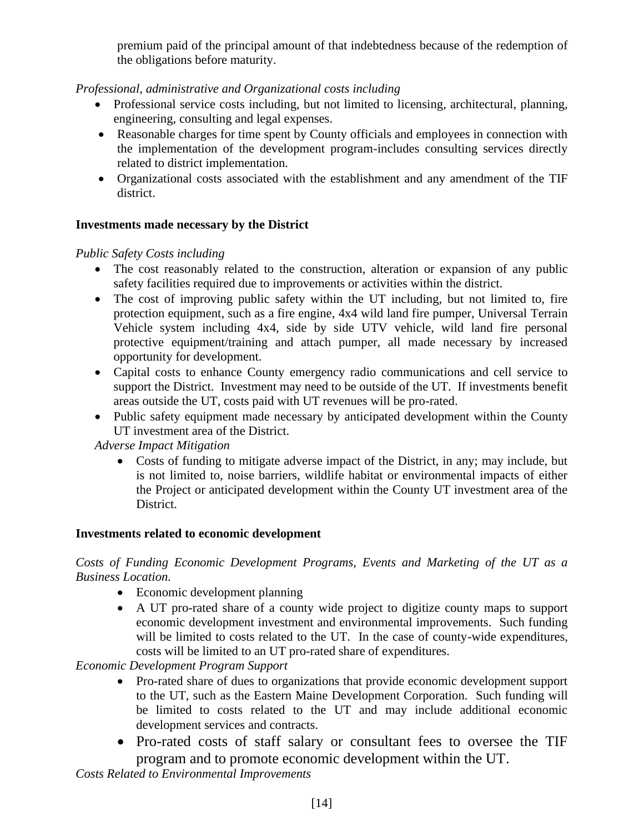premium paid of the principal amount of that indebtedness because of the redemption of the obligations before maturity.

## *Professional, administrative and Organizational costs including*

- Professional service costs including, but not limited to licensing, architectural, planning, engineering, consulting and legal expenses.
- Reasonable charges for time spent by County officials and employees in connection with the implementation of the development program-includes consulting services directly related to district implementation.
- Organizational costs associated with the establishment and any amendment of the TIF district.

#### **Investments made necessary by the District**

#### *Public Safety Costs including*

- The cost reasonably related to the construction, alteration or expansion of any public safety facilities required due to improvements or activities within the district.
- The cost of improving public safety within the UT including, but not limited to, fire protection equipment, such as a fire engine, 4x4 wild land fire pumper, Universal Terrain Vehicle system including 4x4, side by side UTV vehicle, wild land fire personal protective equipment/training and attach pumper, all made necessary by increased opportunity for development.
- Capital costs to enhance County emergency radio communications and cell service to support the District. Investment may need to be outside of the UT. If investments benefit areas outside the UT, costs paid with UT revenues will be pro-rated.
- Public safety equipment made necessary by anticipated development within the County UT investment area of the District.

*Adverse Impact Mitigation*

• Costs of funding to mitigate adverse impact of the District, in any; may include, but is not limited to, noise barriers, wildlife habitat or environmental impacts of either the Project or anticipated development within the County UT investment area of the District.

#### **Investments related to economic development**

*Costs of Funding Economic Development Programs, Events and Marketing of the UT as a Business Location.*

- Economic development planning
- A UT pro-rated share of a county wide project to digitize county maps to support economic development investment and environmental improvements. Such funding will be limited to costs related to the UT. In the case of county-wide expenditures, costs will be limited to an UT pro-rated share of expenditures.

*Economic Development Program Support*

- Pro-rated share of dues to organizations that provide economic development support to the UT, such as the Eastern Maine Development Corporation. Such funding will be limited to costs related to the UT and may include additional economic development services and contracts.
- Pro-rated costs of staff salary or consultant fees to oversee the TIF program and to promote economic development within the UT.

*Costs Related to Environmental Improvements*